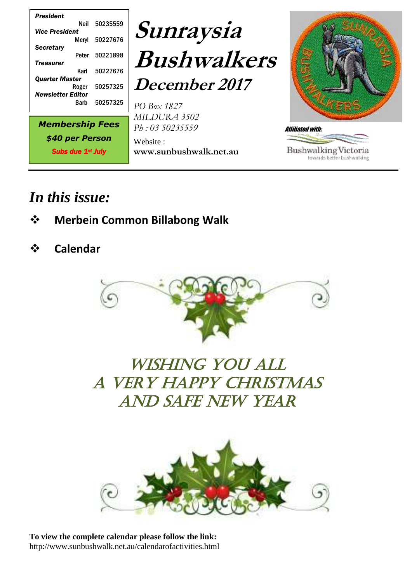

## *In this issue:*

- ❖ **Merbein Common Billabong Walk**
- ❖ **Calendar**



## WISHING YOU ALL a very happy Christmas and safe New Year



**To view the complete calendar please follow the link:** http://www.sunbushwalk.net.au/calendarofactivities.html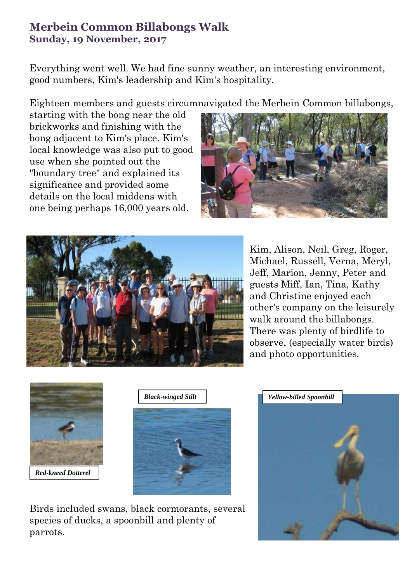## **Merbein Common Billabongs Walk Sunday, 19 November, 2017**

Everything went well. We had fine sunny weather, an interesting environment, good numbers, Kim's leadership and Kim's hospitality.

Eighteen members and guests circumnavigated the Merbein Common billabongs,

starting with the bong near the old brickworks and finishing with the bong adjacent to Kim's place. Kim's local knowledge was also put to good use when she pointed out the "boundary tree" and explained its significance and provided some details on the local middens with one being perhaps 16,000 years old.





Kim, Alison, Neil, Greg, Roger, Michael, Russell, Verna, Meryl, Jeff, Marion, Jenny, Peter and guests Miff, Ian, Tina, Kathy and Christine enjoyed each other's company on the leisurely walk around the billabongs. There was plenty of birdlife to observe, (especially water birds) and photo opportunities.





Birds included swans, black cormorants, several species of ducks, a spoonbill and plenty of parrots.

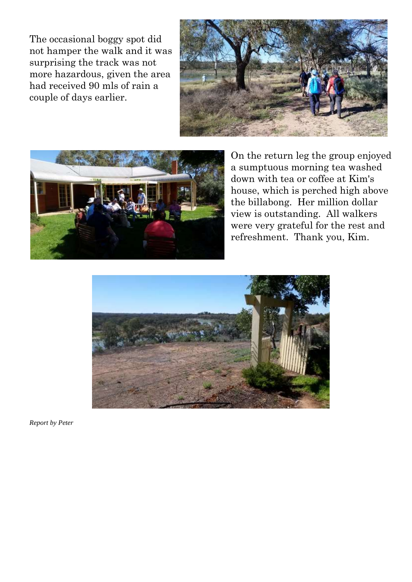The occasional boggy spot did not hamper the walk and it was surprising the track was not more hazardous, given the area had received 90 mls of rain a couple of days earlier.





On the return leg the group enjoyed a sumptuous morning tea washed down with tea or coffee at Kim's house, which is perched high above the billabong. Her million dollar view is outstanding. All walkers were very grateful for the rest and refreshment. Thank you, Kim.



*Report by Peter*